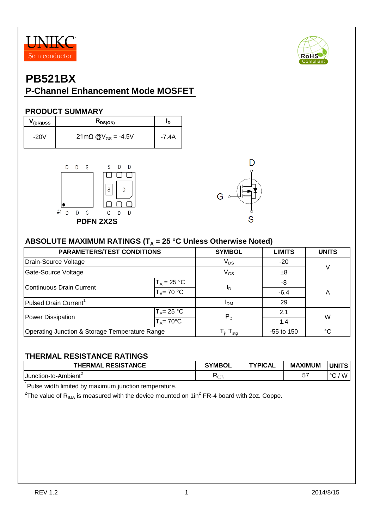



# **PB521BX**

## **P-Channel Enhancement Mode MOSFET**

#### **PRODUCT SUMMARY**

| (BR)DSS | $R_{DS(ON)}$                  | םי    |
|---------|-------------------------------|-------|
| $-20V$  | 21mΩ @V <sub>GS</sub> = -4.5V | -7.4A |





### ABSOLUTE MAXIMUM RATINGS (T<sub>A</sub> = 25 °C Unless Otherwise Noted)

| <b>PARAMETERS/TEST CONDITIONS</b>              | <b>SYMBOL</b>                     | <b>LIMITS</b> | <b>UNITS</b> |   |  |
|------------------------------------------------|-----------------------------------|---------------|--------------|---|--|
| Drain-Source Voltage                           | $V_{DS}$                          | $-20$         |              |   |  |
| Gate-Source Voltage                            | $V_{GS}$                          | $\pm 8$       | V            |   |  |
|                                                | $T_A = 25 °C$                     |               | -8           |   |  |
| <b>Continuous Drain Current</b>                | $T_A = 70 °C$                     | <u>In</u>     | $-6.4$       | A |  |
| Pulsed Drain Current <sup>1</sup>              | ' <sub>DM</sub>                   | 29            |              |   |  |
| Power Dissipation                              | $T_A = 25 °C$                     | $P_D$         | 2.1          | W |  |
|                                                | $T_A = 70^{\circ}$ C              |               | 1.4          |   |  |
| Operating Junction & Storage Temperature Range | $T_{\text{i}}$ , $T_{\text{stg}}$ | $-55$ to 150  | °€           |   |  |

### **THERMAL RESISTANCE RATINGS**

| <b>RESISTANCE</b><br><b>THERMAL</b> | <b>SYMBOL</b>        | TYPICAL | <b>MAXIMUM</b> | <b>UNITS</b>           |
|-------------------------------------|----------------------|---------|----------------|------------------------|
| <b>IJunction-to-Ambient</b>         | $\nabla_{\theta}$ JA |         | $-1$<br>J.     | $\circ$<br>$M_{\odot}$ |

<sup>1</sup>Pulse width limited by maximum junction temperature.

<sup>2</sup>The value of R<sub>θJA</sub> is measured with the device mounted on 1in<sup>2</sup> FR-4 board with 2oz. Coppe.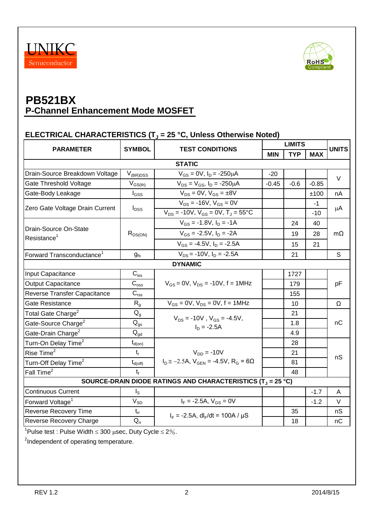



### **ELECTRICAL CHARACTERISTICS (T<sup>J</sup> = 25 °C, Unless Otherwise Noted)**

|                                                                      | <b>SYMBOL</b>                           | <b>TEST CONDITIONS</b>                                                  |            | <b>LIMITS</b> |            |              |  |
|----------------------------------------------------------------------|-----------------------------------------|-------------------------------------------------------------------------|------------|---------------|------------|--------------|--|
| <b>PARAMETER</b>                                                     |                                         |                                                                         | <b>MIN</b> | <b>TYP</b>    | <b>MAX</b> | <b>UNITS</b> |  |
| <b>STATIC</b>                                                        |                                         |                                                                         |            |               |            |              |  |
| Drain-Source Breakdown Voltage                                       | $V_{(BR)DSS}$                           | $V_{GS} = 0V$ , $I_D = -250 \mu A$                                      | $-20$      |               |            | $\vee$       |  |
| Gate Threshold Voltage                                               | $\mathsf{V}_{\mathsf{GS}(\mathsf{th})}$ | $V_{DS} = V_{GS}$ , $I_D = -250 \mu A$                                  | $-0.45$    | $-0.6$        | $-0.85$    |              |  |
| Gate-Body Leakage                                                    | $I_{GSS}$                               | $V_{DS} = 0V$ , $V_{GS} = \pm 8V$                                       |            |               | ±100       | nA           |  |
| Zero Gate Voltage Drain Current                                      | $I_{\text{DSS}}$                        | $V_{DS}$ = -16V, $V_{GS}$ = 0V                                          |            |               | $-1$       | μA           |  |
|                                                                      |                                         | $V_{DS}$ = -10V, $V_{GS}$ = 0V, $T_J$ = 55°C                            |            |               | $-10$      |              |  |
|                                                                      |                                         | $V_{GS} = -1.8 V, I_D = -1A$                                            |            | 24            | 40         |              |  |
| Drain-Source On-State<br>Resistance <sup>1</sup>                     | $R_{DS(ON)}$                            | $V_{GS}$ = -2.5V, $I_D$ = -2A                                           |            | 19            | 28         | $m\Omega$    |  |
|                                                                      |                                         | $V_{GS} = -4.5V$ , $I_D = -2.5A$                                        |            | 15            | 21         |              |  |
| Forward Transconductance <sup>1</sup>                                | $g_{fs}$                                | $V_{DS}$ = -10V, $I_D$ = -2.5A                                          |            | 21            |            | S            |  |
|                                                                      |                                         | <b>DYNAMIC</b>                                                          |            |               |            |              |  |
| Input Capacitance                                                    | $C_{iss}$                               |                                                                         |            | 1727          |            | pF           |  |
| Output Capacitance                                                   | $\mathbf{C}_{\text{oss}}$               | $V_{GS} = 0V$ , $V_{DS} = -10V$ , f = 1MHz                              |            | 179           |            |              |  |
| Reverse Transfer Capacitance                                         | $C_{\text{rss}}$                        |                                                                         |            | 155           |            |              |  |
| Gate Resistance                                                      | R <sub>g</sub>                          | $V_{GS} = 0V$ , $V_{DS} = 0V$ , f = 1MHz                                |            | 10            |            | Ω            |  |
| Total Gate Charge <sup>2</sup>                                       | $\mathsf{Q}_{\mathsf{g}}$               | $V_{DS}$ = -10V, $V_{GS}$ = -4.5V,<br>$I_D = -2.5A$                     |            | 21            |            | nC           |  |
| Gate-Source Charge <sup>2</sup>                                      | $Q_{gs}$                                |                                                                         |            | 1.8           |            |              |  |
| Gate-Drain Charge <sup>2</sup>                                       | $\mathsf{Q}_{\mathsf{gd}}$              |                                                                         |            | 4.9           |            |              |  |
| Turn-On Delay Time <sup>2</sup>                                      | $t_{d(0n)}$                             |                                                                         |            | 28            |            |              |  |
| Rise Time <sup>2</sup>                                               | $t_{r}$                                 | $V_{DD} = -10V$                                                         |            | 21            |            | nS           |  |
| Turn-Off Delay Time <sup>2</sup>                                     | $t_{d(\text{off})}$                     | $I_D \approx -2.5A$ , $V_{GEN} = -4.5V$ , $R_G = 6\Omega$               |            | 81            |            |              |  |
| Fall Time <sup>2</sup>                                               | $t_{f}$                                 |                                                                         |            | 48            |            |              |  |
|                                                                      |                                         | SOURCE-DRAIN DIODE RATINGS AND CHARACTERISTICS (T <sub>J</sub> = 25 °C) |            |               |            |              |  |
| <b>Continuous Current</b>                                            | $I_{\rm S}$                             |                                                                         |            |               | $-1.7$     | A            |  |
| Forward Voltage <sup>1</sup>                                         | $V_{SD}$                                | $I_F = -2.5A$ , $V_{GS} = 0V$                                           |            |               | $-1.2$     | $\vee$       |  |
| Reverse Recovery Time                                                | $t_{rr}$                                | $I_F = -2.5A$ , dl <sub>F</sub> /dt = 100A / $\mu$ S                    |            | 35            |            | nS           |  |
| Reverse Recovery Charge                                              | $Q_{rr}$                                |                                                                         |            | 18            |            | nC           |  |
| $1\overline{D}$ ulse test : Dulse Width < 300 uses. Duty Cycle < 204 |                                         |                                                                         |            |               |            |              |  |

'Pulse test : Pulse Width  $\leq 300$   $\mu$ sec, Duty Cycle  $\leq 2\%$ .

<sup>2</sup>Independent of operating temperature.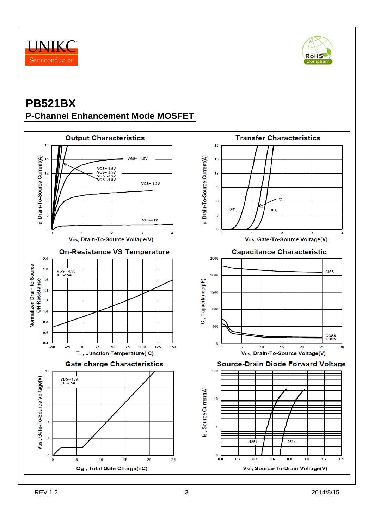



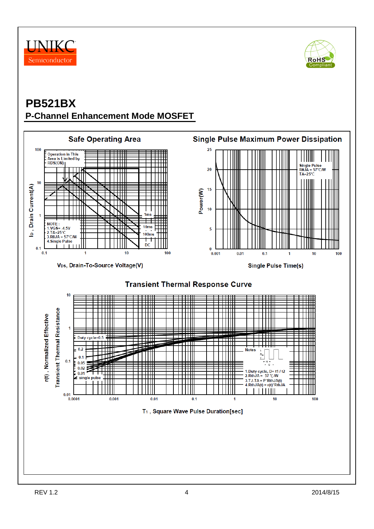